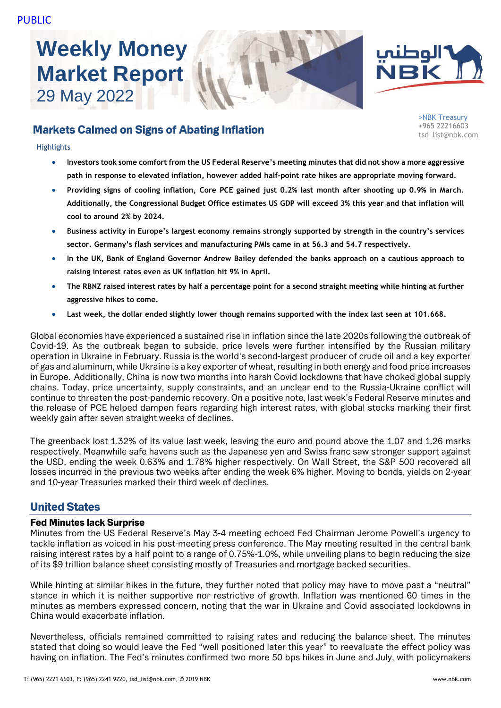# **Weekly Money Market Report** 29 May 2022





>NBK Treasury +965 22216603 tsd\_list@nbk.com

# Markets Calmed on Signs of Abating Inflation

#### **Highlights**

- **Investors took some comfort from the US Federal Reserve's meeting minutes that did not show a more aggressive path in response to elevated inflation, however added half-point rate hikes are appropriate moving forward.**
- **Providing signs of cooling inflation, Core PCE gained just 0.2% last month after shooting up 0.9% in March. Additionally, the Congressional Budget Office estimates US GDP will exceed 3% this year and that inflation will cool to around 2% by 2024.**
- **Business activity in Europe's largest economy remains strongly supported by strength in the country's services sector. Germany's flash services and manufacturing PMIs came in at 56.3 and 54.7 respectively.**
- **In the UK, Bank of England Governor Andrew Bailey defended the banks approach on a cautious approach to raising interest rates even as UK inflation hit 9% in April.**
- **The RBNZ raised interest rates by half a percentage point for a second straight meeting while hinting at further aggressive hikes to come.**
- **Last week, the dollar ended slightly lower though remains supported with the index last seen at 101.668.**

Global economies have experienced a sustained rise in inflation since the late 2020s following the outbreak of Covid-19. As the outbreak began to subside, price levels were further intensified by the Russian military operation in Ukraine in February. Russia is the world's second-largest producer of crude oil and a key exporter of gas and aluminum, while Ukraine is a key exporter of wheat, resulting in both energy and food price increases in Europe. Additionally, China is now two months into harsh Covid lockdowns that have choked global supply chains. Today, price uncertainty, supply constraints, and an unclear end to the Russia-Ukraine conflict will continue to threaten the post-pandemic recovery. On a positive note, last week's Federal Reserve minutes and the release of PCE helped dampen fears regarding high interest rates, with global stocks marking their first weekly gain after seven straight weeks of declines.

The greenback lost 1.32% of its value last week, leaving the euro and pound above the 1.07 and 1.26 marks respectively. Meanwhile safe havens such as the Japanese yen and Swiss franc saw stronger support against the USD, ending the week 0.63% and 1.78% higher respectively. On Wall Street, the S&P 500 recovered all losses incurred in the previous two weeks after ending the week 6% higher. Moving to bonds, yields on 2-year and 10-year Treasuries marked their third week of declines.

# United States

#### Fed Minutes lack Surprise

Minutes from the US Federal Reserve's May 3-4 meeting echoed Fed Chairman Jerome Powell's urgency to tackle inflation as voiced in his post-meeting press conference. The May meeting resulted in the central bank raising interest rates by a half point to a range of 0.75%-1.0%, while unveiling plans to begin reducing the size of its \$9 trillion balance sheet consisting mostly of Treasuries and mortgage backed securities.

While hinting at similar hikes in the future, they further noted that policy may have to move past a "neutral" stance in which it is neither supportive nor restrictive of growth. Inflation was mentioned 60 times in the minutes as members expressed concern, noting that the war in Ukraine and Covid associated lockdowns in China would exacerbate inflation.

Nevertheless, officials remained committed to raising rates and reducing the balance sheet. The minutes stated that doing so would leave the Fed "well positioned later this year" to reevaluate the effect policy was having on inflation. The Fed's minutes confirmed two more 50 bps hikes in June and July, with policymakers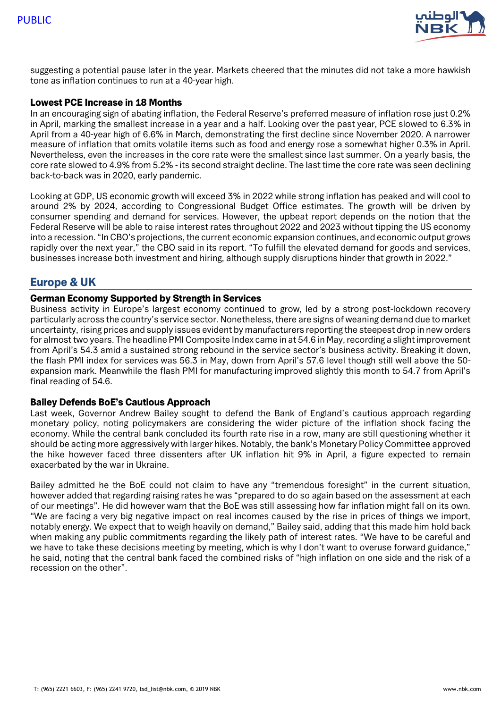

suggesting a potential pause later in the year. Markets cheered that the minutes did not take a more hawkish tone as inflation continues to run at a 40-year high.

## Lowest PCE Increase in 18 Months

In an encouraging sign of abating inflation, the Federal Reserve's preferred measure of inflation rose just 0.2% in April, marking the smallest increase in a year and a half. Looking over the past year, PCE slowed to 6.3% in April from a 40-year high of 6.6% in March, demonstrating the first decline since November 2020. A narrower measure of inflation that omits volatile items such as food and energy rose a somewhat higher 0.3% in April. Nevertheless, even the increases in the core rate were the smallest since last summer. On a yearly basis, the core rate slowed to 4.9% from 5.2% - its second straight decline. The last time the core rate was seen declining back-to-back was in 2020, early pandemic.

Looking at GDP, US economic growth will exceed 3% in 2022 while strong inflation has peaked and will cool to around 2% by 2024, according to Congressional Budget Office estimates. The growth will be driven by consumer spending and demand for services. However, the upbeat report depends on the notion that the Federal Reserve will be able to raise interest rates throughout 2022 and 2023 without tipping the US economy into a recession. "In CBO's projections, the current economic expansion continues, and economic output grows rapidly over the next year," the CBO said in its report. "To fulfill the elevated demand for goods and services, businesses increase both investment and hiring, although supply disruptions hinder that growth in 2022."

# Europe & UK

## German Economy Supported by Strength in Services

Business activity in Europe's largest economy continued to grow, led by a strong post-lockdown recovery particularly across the country's service sector. Nonetheless, there are signs of weaning demand due to market uncertainty, rising prices and supply issues evident by manufacturers reporting the steepest drop in new orders for almost two years. The headline PMI Composite Index came in at 54.6 in May, recording a slight improvement from April's 54.3 amid a sustained strong rebound in the service sector's business activity. Breaking it down, the flash PMI index for services was 56.3 in May, down from April's 57.6 level though still well above the 50 expansion mark. Meanwhile the flash PMI for manufacturing improved slightly this month to 54.7 from April's final reading of 54.6.

#### Bailey Defends BoE's Cautious Approach

Last week, Governor Andrew Bailey sought to defend the Bank of England's cautious approach regarding monetary policy, noting policymakers are considering the wider picture of the inflation shock facing the economy. While the central bank concluded its fourth rate rise in a row, many are still questioning whether it should be acting more aggressively with larger hikes. Notably, the bank's Monetary Policy Committee approved the hike however faced three dissenters after UK inflation hit 9% in April, a figure expected to remain exacerbated by the war in Ukraine.

Bailey admitted he the BoE could not claim to have any "tremendous foresight" in the current situation, however added that regarding raising rates he was "prepared to do so again based on the assessment at each of our meetings". He did however warn that the BoE was still assessing how far inflation might fall on its own. "We are facing a very big negative impact on real incomes caused by the rise in prices of things we import, notably energy. We expect that to weigh heavily on demand," Bailey said, adding that this made him hold back when making any public commitments regarding the likely path of interest rates. "We have to be careful and we have to take these decisions meeting by meeting, which is why I don't want to overuse forward guidance," he said, noting that the central bank faced the combined risks of "high inflation on one side and the risk of a recession on the other".